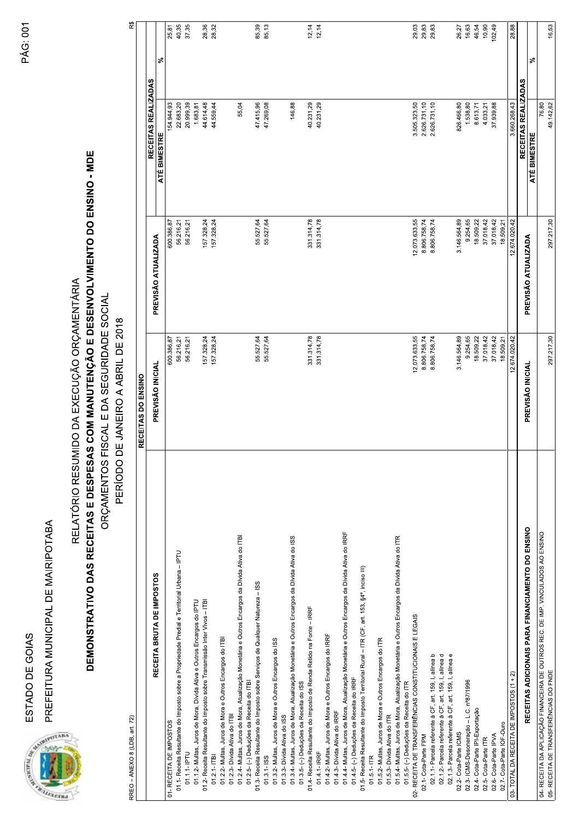



## **SOIAS**<br>MUNICIPAL DE MAIRIPOTABA<br>RELATÓRIO RESUMI<br>**MONSTRATIVO DAS RECEITAS E DESPESAS**<br>ORÇAMENTOS FI

| Ç |
|---|
| ۱ |
|   |
| α |
|   |
|   |
|   |

| DEMONSTRATIVO DAS RECEITAS E DESPESAS COM MANUTENÇÃO E DESENVOLVIMENTO DO ENSINO - MDE<br>PREFEITURA MUNICIPAL DE MAIRIPOTABA<br>RREO - ANEXO 8 (LDB, art. 72)<br><b>SANDWALLER AND REAL PROPERTY AND</b> | RIDADE SOCIAL<br>PERÍODO DE JANEIRO A ABRIL DE 2018<br>RELATÓRIO RESUMIDO DA EXECUÇÃ<br>ORÇAMENTOS FISCAL E DA SEGU<br>RECEITAS DO ENSINO | O ORÇAMENTÁRIA               |                              | $\mathbb{R}^3$ |
|-----------------------------------------------------------------------------------------------------------------------------------------------------------------------------------------------------------|-------------------------------------------------------------------------------------------------------------------------------------------|------------------------------|------------------------------|----------------|
|                                                                                                                                                                                                           |                                                                                                                                           |                              | RECEITAS REALIZADAS          |                |
| RECEITA BRUTA DE IMPOSTOS                                                                                                                                                                                 | PREVISÃO INICIAL                                                                                                                          | PREVISÃO ATUALIZADA          | ATÉ BIMESTRE                 | వి             |
| 01.1- Receita Resultante do Imposto sobre a Propriedade Predial e Territorial Urbana - IPTU<br>01- RECEITA DE IMPOSTOS                                                                                    | 56.216,21<br>600.386,87                                                                                                                   | 56.216,21<br>600.386,87      | 22.683,20<br>154.944,93      | 40,35<br>25,81 |
| 01.1.1- IPTU                                                                                                                                                                                              | 56.216,21                                                                                                                                 | 56.216,21                    | 20.999,39                    | 37,35          |
| 01.1.2- Multas, Juros de Mora, Dívida Ativa e Outros Encargos do IPTU                                                                                                                                     |                                                                                                                                           |                              | 1.683,81                     |                |
| 01.2- Receita Resultante do Imposto sobre Transmissão Inter Vivos - ITBI<br>$01.2.1 - ITB$                                                                                                                | 157.328,24<br>157.328,24                                                                                                                  | 157.328,24<br>157.328,24     | 44.614,48<br>44.559,44       | 28,36<br>28,32 |
| 01.2.2- Multas, Juros de Mora e Outros Encargos do ITBI                                                                                                                                                   |                                                                                                                                           |                              |                              |                |
| 01.2.3- Dívida Ativa do ITBI                                                                                                                                                                              |                                                                                                                                           |                              |                              |                |
| 01.2.4- Multas, Juros de Mora, Atualização Monetária e Outros Encargos da Divida Ativa do ITBI<br>01.2.5- (-) Deduções da Receita do ITBI                                                                 |                                                                                                                                           |                              | 55,04                        |                |
| 01.3- Receita Resultante do Imposto sobre Serviços de Qualquer Natureza - ISS                                                                                                                             | 55.527,64                                                                                                                                 | 55.527,64                    | 47.415,96                    | 85,39          |
| $01.3.1 -$ ISS                                                                                                                                                                                            | 55.527,64                                                                                                                                 | 55.527,64                    | 47.269,08                    | 85,13          |
| 01.3.2- Multas, Juros de Mora e Outros Encargos do ISS<br>01.3.3- Divida Ativa do ISS                                                                                                                     |                                                                                                                                           |                              |                              |                |
| 01.3.4- Multas, Juros de Mora, Atualização Monetária e Outros Encargos da Divida Ativa do ISS                                                                                                             |                                                                                                                                           |                              | 146,88                       |                |
| 01.3.5- (-) Deduções da Receita do ISS                                                                                                                                                                    |                                                                                                                                           |                              |                              |                |
| 01.4- Receita Resultante do Imposto de Renda Retido na Fonte - IRRF<br>01.4.1- IRRF                                                                                                                       | 331.314,78<br>331.314,78                                                                                                                  | 331.314,78<br>331.314,78     | 40.231,29<br>40.231,29       | 12,14<br>12,14 |
| 01.4.2- Multas, Juros de Mora e Outros Encargos do IRRF                                                                                                                                                   |                                                                                                                                           |                              |                              |                |
| 01.4.3- Dívida Ativa do IRRF                                                                                                                                                                              |                                                                                                                                           |                              |                              |                |
| 01.4.4 Multas, Juros de Mora, Atualização Monetária e Outros Encargos da Divida Ativa do IRRF<br>01.4.5- (-) Deduções da Receita do IRRF                                                                  |                                                                                                                                           |                              |                              |                |
| 01.5- Receita Resultante do Imposto Territorial Rural - ITR (CF, art. 153, §4º, inciso III)                                                                                                               |                                                                                                                                           |                              |                              |                |
| $01.5.1 - ITR$                                                                                                                                                                                            |                                                                                                                                           |                              |                              |                |
| 01.5.2- Multas, Juros de Mora e Outros Encargos do ITR<br>01.5.3- Divida Ativa do ITR                                                                                                                     |                                                                                                                                           |                              |                              |                |
| 01.5.4- Multas, Juros de Mora, Atualização Monetária e Outros Encargos da Divida Ativa do ITR                                                                                                             |                                                                                                                                           |                              |                              |                |
| 01.5.5- (-) Deduções da Receita do ITR                                                                                                                                                                    |                                                                                                                                           |                              |                              |                |
| 02- RECEITA DE TRANSFERÊNCIAS CONSTITUCIONAIS E LEGAIS                                                                                                                                                    | 073.633,55<br>806.758,74<br>ည္း ထံုထံ                                                                                                     | 12.073.633,55                | 3.505.323,50                 | 29,03<br>29,83 |
| 02.1.1- Parcela referente à CF, art. 159, I, alinea b<br>02.1- Cota-Parte FPM                                                                                                                             | 806.758,74                                                                                                                                | 8.806.758,74<br>8.806.758,74 | 2.626.731,10<br>2.626.731,10 | 29,83          |
| 02.1.2- Parcela referente à CF, art. 159, I, alinea d                                                                                                                                                     |                                                                                                                                           |                              |                              |                |
| 02.1.3- Parcela referente à CF, art. 159, I, alinea e                                                                                                                                                     |                                                                                                                                           |                              |                              |                |
| 02.3- ICMS-Desoneração - L.C. nº87/1996<br>02.2- Cota-Parte ICMS                                                                                                                                          | 146.564,89<br>9.254,65                                                                                                                    | 3.146.564,89<br>9.254,65     | 826.466,80<br>1.538,80       | 16,63<br>26,27 |
| 02.4- Cota-Parte IPI-Exportação                                                                                                                                                                           | 18.509,22                                                                                                                                 | 18.509,22                    | 8.613,71                     | 46,54          |
| 02.5- Cota-Parte ITR                                                                                                                                                                                      | 37.018,42                                                                                                                                 | 37.018,42                    | 4.033,21                     | 10,90          |
| 02.7- Cota-Parte IOF-Ouro<br>02.6- Cota-Parte IPVA                                                                                                                                                        | 37.018,42<br>18.509,21                                                                                                                    | 37.018,42<br>18.509,21       | 37.939,88                    | 102,49         |
| 03- TOTAL DA RECEITA DE IMPOSTOS (1 + 2)                                                                                                                                                                  | 674.020,42<br>$\tilde{c}$                                                                                                                 | 12.674.020,42                | 3.660.268,43                 | 28,88          |
| RECEITAS ADICIONAIS PARA FINANCIAMENTO DO ENSINO                                                                                                                                                          | PREVISÃO INICIAL                                                                                                                          | PREVISÃO ATUALIZADA          | RECEITAS REALIZADAS          |                |
| 04- RECEITA DA APLICAÇÃO FINANCEIRA DE OUTROS REC. DE IMP. VINCULADOS AO ENSINO                                                                                                                           |                                                                                                                                           |                              | 76,80<br>ATÉ BIMESTRE        | వి             |
| 05- RECEITA DE TRANSFERÊNCIAS DO FNDE                                                                                                                                                                     | 297.217,30                                                                                                                                | 297.217,30                   | 49.142,62                    | 16,53          |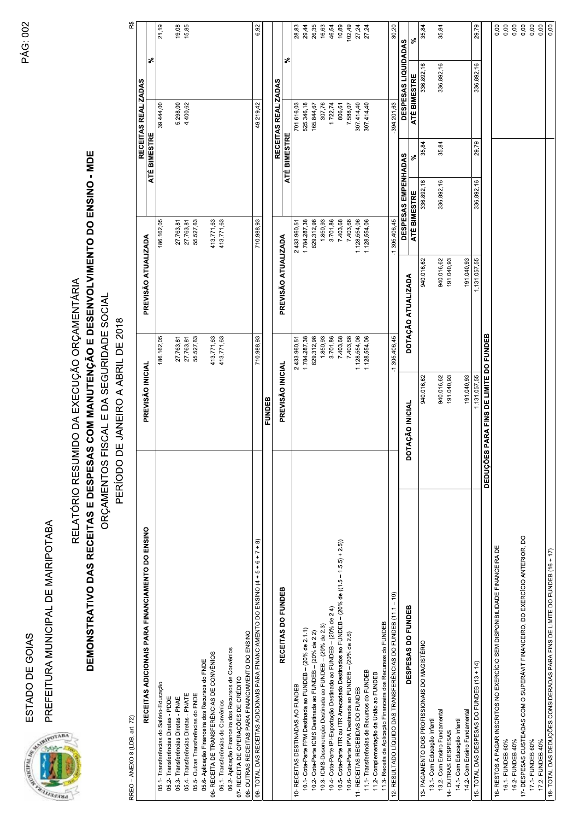

| PREFEITURA MUNICIPAL DE MAIRIPOTABA<br>ESTADO DE GOIAS<br><b>CONTRACTOR AND RESERVED PROPERTY AND</b>                                                               |                                                                                                                 |                      |                      |                     |                                      |                      |
|---------------------------------------------------------------------------------------------------------------------------------------------------------------------|-----------------------------------------------------------------------------------------------------------------|----------------------|----------------------|---------------------|--------------------------------------|----------------------|
| DEMONSTRATIVO DAS RECEITAS E DESPESAS COM MANUTENÇÃO E DESENVOLVIMENTO DO ENSINO - MDE                                                                              | ORÇAMENTOS FISCAL E DA SEGURIDADE SOCIAL<br>PERÍODO DE JANEIRO A ABRIL DE 2018<br>RELATÓRIO RESUMIDO DA EXECUÇÃ | O ORÇAMENTÁRIA       |                      |                     |                                      |                      |
| RREO - ANEXO 8 (LDB, art. 72)                                                                                                                                       |                                                                                                                 |                      |                      |                     | RECEITAS REALIZADAS                  | $\mathbb{R}^3$       |
| RECEITAS ADICIONAIS PARA FINANCIAMENTO DO ENSINO                                                                                                                    | PREVISÃO INICIAL                                                                                                |                      | PREVISÃO ATUALIZADA  | ATÉ BIMESTRE        |                                      | ళ                    |
| 05.1- Transferências do Salário-Educação                                                                                                                            |                                                                                                                 | 186.162,05           | 186.162,05           |                     | 39.444,00                            | 21,19                |
| 05.2- Transferências Diretas - PDDE<br>05.3-Transferências Diretas - PNAE                                                                                           |                                                                                                                 | 27.763,81            | 27.763,81            |                     | 5.298,00                             | 19,08                |
| 05.4- Transferências Diretas - PNATE                                                                                                                                |                                                                                                                 | 27.763,81            | 27.763,81            |                     | 4.400,62                             | 15,85                |
| 05.6- Aplicação Financeira dos Recursos do FNDE<br>05.5- Outras Transferências do FNDE                                                                              |                                                                                                                 | 55.527,63            | 55.527,63            |                     |                                      |                      |
| 06- RECEITA DE TRANSFERÊNCIAS DE CONVÊNIOS                                                                                                                          |                                                                                                                 | 413.771,63           | 413.771,63           |                     |                                      |                      |
| 06.1- Transferências de Convênios                                                                                                                                   |                                                                                                                 | 413.771,63           | 413.771,63           |                     |                                      |                      |
| 06.2- Aplicação Financeira dos Recursos de Convênios<br>07- RECEITA DE OPERAÇÕES DE CRÉDITO                                                                         |                                                                                                                 |                      |                      |                     |                                      |                      |
| 09- TOTAL DAS RECEITAS ADICIONAIS PARA FINANCIAMENTO DO ENSINO (4 + 5 + 6 + 7 + 8)<br>08- OUTRAS RECEITAS PARA FINANCIAMENTO DO ENSINO                              |                                                                                                                 | 710.988,93           | 710.988,93           |                     | 49.219,42                            | 6,92                 |
|                                                                                                                                                                     | <b>FUNDEB</b>                                                                                                   |                      |                      |                     |                                      |                      |
| RECEITAS DO FUNDEB                                                                                                                                                  | PREVISÃO INICIAL                                                                                                |                      | PREVISÃO ATUALIZADA  |                     | RECEITAS REALIZADAS                  |                      |
| 10- RECEITAS DESTINADAS AO FUNDEB                                                                                                                                   |                                                                                                                 | 433.960,51           | 2.433.960,51         | ATÉ BIMESTRE        | 701.616,03                           | 28,83<br>వి          |
| 10.1- Cota-Parte FPM Destinada ao FUNDEB - (20% de 2.1.1)                                                                                                           |                                                                                                                 | 784.287,38           | 1.784.287,38         |                     | 525.346,18                           | 29,44                |
| 10.2- Cota-Parte ICMS Destinada ao FUNDEB - (20% de 2.2)                                                                                                            |                                                                                                                 | 629.312,98           | 629.312,98           |                     | 165.844,67                           | 26,35                |
| 10.3- ICMS-Desoneração Destinada ao FUNDEB - (20% de 2.3)                                                                                                           |                                                                                                                 | 1.850,93             | 1.850,93             |                     | 307,76                               | 16,63                |
| 10.5- Cota-Parte ITR ou ITR Arrecadado Destinados ao FUNDEB - (20% de ((1.5 - 1.5.5) + 2.5))<br>10.4 - Cota-Parte IPI-Exportação Destinada ao FUNDEB - (20% de 2.4) |                                                                                                                 | 3.701,86<br>7.403,68 | 3.701,86<br>7.403,68 |                     | 1.722,74<br>806,61                   | 10,89<br>46,54       |
| 10.6- Cota-Parte IPVA Destinada ao FUNDEB - (20% de 2.6)                                                                                                            |                                                                                                                 | 7.403,68             | 7.403,68             |                     | 7.588,07                             | 102,49               |
| 11- RECEITAS RECEBIDAS DO FUNDEB                                                                                                                                    |                                                                                                                 | 128.554,06           | 1.128.554,06         |                     | 307.414,40                           | 27,24                |
| 11.1- Transferências de Recursos do FUNDEB<br>11.2- Complementação da União ao FUNDEB                                                                               |                                                                                                                 | 128.554,06           | 1.128.554,06         |                     | 307.414,40                           | 27,24                |
| 11.3- Receita de Aplicação Financeira dos Recursos do FUNDEB                                                                                                        |                                                                                                                 |                      |                      |                     |                                      |                      |
| $\widehat{P}$<br>12- RESULTADO LÍQUIDO DAS TRANSFERÊNCIAS DO FUNDEB (11.1                                                                                           |                                                                                                                 | 305.406,45           | $-1.305.406,45$      | DESPESAS EMPENHADAS | DESPESAS LIQUIDADAS<br>$-394.201,63$ | 30,20                |
| DESPESAS DO FUNDEB                                                                                                                                                  | <b>DOTAÇÃO INICIAL</b>                                                                                          | DOTAÇÃO ATUALIZADA   | ATÉ BIMESTRE         | వి                  | ATÉ BIMESTRE                         | వి                   |
| 13- PAGAMENTO DOS PROFISSIONAIS DO MAGISTÉRIO                                                                                                                       | 940.016,62                                                                                                      |                      | 940.016,62           | 35,84<br>336.892,16 | 336.892,16                           | 35,84                |
| 13.2- Com Ensino Fundamental<br>13.1- Com Educação Infantil                                                                                                         | 940.016,62                                                                                                      |                      | 940.016,62           | 35,84<br>336.892,16 | 336.892,16                           | 35,84                |
| 14- OUTRAS DESPESAS                                                                                                                                                 | 191.040,93                                                                                                      |                      | 191.040,93           |                     |                                      |                      |
| 14.2- Com Ensino Fundamental<br>14.1 - Com Educação Infantil                                                                                                        | 191.040,93                                                                                                      |                      | 191.040,93           |                     |                                      |                      |
| 15- TOTAL DAS DESPESAS DO FUNDEB (13 + 14)                                                                                                                          | 1.131.057,55                                                                                                    |                      | 1.131.057,55         | 336.892,16          | 336.892,16<br>29,79                  | 29,79                |
|                                                                                                                                                                     | DEDUÇÕES PARA FINS DE LIMITE DO FUNDEB                                                                          |                      |                      |                     |                                      |                      |
| 16- RESTOS A PAGAR INSCRITOS NO EXERCÍCIO SEM DISPONIBILIDADE FINANCEIRA DE<br>16.2- FUNDEB 40%<br>16.1- FUNDEB 60%                                                 |                                                                                                                 |                      |                      |                     |                                      | 0,00<br>0,00<br>0,00 |
| 17- DESPESAS CUSTEADAS COM O SUPERÁVIT FINANCEIRO, DO EXERCÍCIO ANTERIOR, DO                                                                                        |                                                                                                                 |                      |                      |                     |                                      | 0,00                 |
| 17.1- FUNDEB 60%<br>17.2- FUNDEB 40%                                                                                                                                |                                                                                                                 |                      |                      |                     |                                      | 0,00<br>0,00         |
| 18- TOTAL DAS DEDUÇÕES CONSIDERADAS PARA FINS DE LIMITE DO FUNDEB (16 + 17)                                                                                         |                                                                                                                 |                      |                      |                     |                                      | 0,00                 |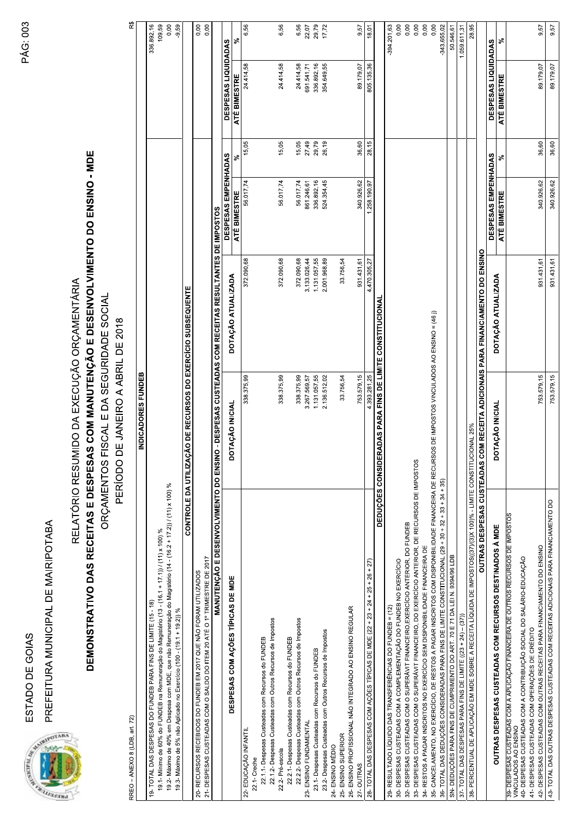ESTADO DE GOIAS

PREFEITURA MUNICIPAL DE MAIRIPOTABA



RREO - ANEXO 8 (LDB, art. 72)

RELATÓRIO RESUMIDO DA EXECUÇÃO ORÇAMENTÁRIA

DEMONSTRATIVO DAS RECEITAS E DESPESAS COM MANUTENÇÃO E DESENVOLVIMENTO DO ENSINO - MDE ORÇAMENTOS FISCAL E DA SEGURIDADE SOCIAL

PERÍODO DE JANEIRO A ABRIL DE 2018

| RREO - ANEXO 8 (LDB, art. 72)                                                                                                                                                                                                       |                                                                 |                                                              |                     |       |                     | R\$           |
|-------------------------------------------------------------------------------------------------------------------------------------------------------------------------------------------------------------------------------------|-----------------------------------------------------------------|--------------------------------------------------------------|---------------------|-------|---------------------|---------------|
|                                                                                                                                                                                                                                     | INDICADORES FUNDEB                                              |                                                              |                     |       |                     |               |
| 19- TOTAL DAS DESPESAS DO FUNDEB PARA FINS DE LIMITE (15 - 18)                                                                                                                                                                      |                                                                 |                                                              |                     |       |                     | 336.892,16    |
| 19.1 - Mínimo de 60% do FUNDEB na Remuneração do Magistério (13 - (16.1 + 17.1)) / (11) x 100) %                                                                                                                                    |                                                                 |                                                              |                     |       |                     | 109,59        |
| 19.2- Máximo de 40% em Despesa com MDE, que não Remuneração do Magistério (14 - (16.2 + 17.2)) / (11) x 100) %                                                                                                                      |                                                                 |                                                              |                     |       |                     | 0,00          |
| 19.3- Máximo de 5% não Aplicado no Exercício (100 - (19.1 + 19.2)) %                                                                                                                                                                |                                                                 |                                                              |                     |       |                     | 9,59          |
|                                                                                                                                                                                                                                     | CONTROLE DA UTILIZAÇÃO DE RECURSOS DO EXERCÍCIO SUBSEQUENTE     |                                                              |                     |       |                     |               |
| 20- RECURSOS RECEBIDOS DO FUNDEB EM 2017 QUE NÃO FORAM UTILIZADOS                                                                                                                                                                   |                                                                 |                                                              |                     |       |                     | 0,00          |
| 21- DESPESAS CUSTEADAS COM O SALDO DO ITEM 20 ATÉ O 1º TRIMESTRE DE 2017                                                                                                                                                            |                                                                 |                                                              |                     |       |                     | 0,00          |
| MANUTENÇÃO E DESENVOLVIMENTO DO ENSI                                                                                                                                                                                                |                                                                 | NO - DESPESAS CUSTEADAS COM RECEITAS RESULTANTES DE IMPOSTOS |                     |       |                     |               |
| DESPESAS COM AÇÕES TÍPICAS DE MDE                                                                                                                                                                                                   | DOTAÇÃO INICIAL                                                 | DOTAÇÃO ATUALIZADA                                           | DESPESAS EMPENHADAS |       | DESPESAS LIQUIDADAS |               |
|                                                                                                                                                                                                                                     |                                                                 |                                                              | <b>ATÉ BIMESTRE</b> | ೢೕ    | ATÉ BIMESTRE        | ೢೕ            |
| 22- EDUCAÇÃO INFANTIL<br>22.1-Creche                                                                                                                                                                                                | 338.375,99                                                      | 372.090,68                                                   | 56.017,74           | 15,05 | 24.414,58           | 6,56          |
| 22.1.1- Despesas Custeadas com Recursos do FUNDEB                                                                                                                                                                                   |                                                                 |                                                              |                     |       |                     |               |
| 22.1.2- Despesas Custeadas com Outros Recursos de Impostos                                                                                                                                                                          |                                                                 |                                                              |                     |       |                     |               |
| 22.2- Pré-escola                                                                                                                                                                                                                    | 338.375,99                                                      | 372.090,68                                                   | 56.017,74           | 15,05 | 24.414,58           | 6,56          |
| 22.2.1- Despesas Custeadas com Recursos do FUNDEB                                                                                                                                                                                   |                                                                 |                                                              |                     |       |                     |               |
| 22.2.2- Despesas Custeadas com Outros Recursos de Impostos                                                                                                                                                                          | 338.375,99                                                      | 372.090,68                                                   | 56.017,74           | 15,05 | 24.414,58           | 6,56          |
| 23- ENSINO FUNDAMENTAL                                                                                                                                                                                                              | 3.267.569,57                                                    | 3.133.026,44                                                 | 861.246,61          | 27,49 | 691.541,71          | 22,07         |
| 23.1- Despesas Custeadas com Recursos do FUNDEB                                                                                                                                                                                     | 1.131.057,55                                                    | 1.131.057,55                                                 | 336.892,16          | 29,79 | 336.892,16          | 29,79         |
| 23.2- Despesas Custeadas com Outros Recursos de Impostos                                                                                                                                                                            | 2.136.512,02                                                    | 2.001.968,89                                                 | 524.354,45          | 26,19 | 354.649,55          | 17,72         |
| 24- ENSINO MÉDIO                                                                                                                                                                                                                    |                                                                 |                                                              |                     |       |                     |               |
| 25- ENSINO SUPERIOR                                                                                                                                                                                                                 | 33.756,54                                                       | 33.756,54                                                    |                     |       |                     |               |
| 26- ENSINO PROFISSIONAL NÃO INTEGRADO AO ENSINO REGULAR                                                                                                                                                                             |                                                                 |                                                              |                     |       |                     |               |
| 27-OUTRAS                                                                                                                                                                                                                           | 753.579,15                                                      | 931.431,61                                                   | 340.926,62          | 36,60 | 89.179,07           | 9,57          |
| 28- TOTAL DAS DESPESAS COM AÇÕES TÍPICAS DE MDE (22 + 23 + 24 + 25 + 26 + 27)                                                                                                                                                       | 4.393.281,25                                                    | 4.470.305,27                                                 | 1,258.190,97        | 28,15 | 805.135,36          | 18,01         |
|                                                                                                                                                                                                                                     | <b>DEDUÇÕES CONSIDERADAS PARA FINS DE LIMITE CONSTITUCIONAL</b> |                                                              |                     |       |                     |               |
| 29- RESULTADO LÍQUIDO DAS TRANSFERÊNCIAS DO FUNDEB = (12)                                                                                                                                                                           |                                                                 |                                                              |                     |       |                     | $-394.201,63$ |
| 30- DESPESAS CUSTEADAS COM A COMPLEMENTAÇÃO DO FUNDEB NO EXERCÍCIO                                                                                                                                                                  |                                                                 |                                                              |                     |       |                     | 0,00          |
| 32- DESPESAS CUSTEADAS COM O SUPERÁVIT FINANCEIRO, EXERCÍCIO ANTERIOR, DO FUNDEB                                                                                                                                                    |                                                                 |                                                              |                     |       |                     | 0,00          |
| 33- DESPESAS CUSTEADAS COM O SUPERÁVIT FINANCEIRO, DO EXERCÍCIO ANTERIOR, DE RECURSOS DE IMPOSTOS                                                                                                                                   |                                                                 |                                                              |                     |       |                     | 0,00          |
| 34- RESTOS A PAGAR INSCRITOS NO EXERCÍCIO SEM DISPONIBILIDADE FINANCEIRA DE                                                                                                                                                         |                                                                 |                                                              |                     |       |                     | 0,00          |
| 35- CANCELAMENTO, NO EXERCÍCIO, DE RESTOS A PAGAR INSCRITOS COM DISPONIBILIDADE FINANCEIRA DE RECURSOS DE IMPOSTOS VINCULADOS AO ENSINO = (46 ))                                                                                    |                                                                 |                                                              |                     |       |                     | 0,00          |
| 36- TOTAL DAS DEDUÇÕES CONSIDERADAS PARA FINS DE LIMITE CONSTITUCIONAL (29 + 30 + 32 + 34 + 34 + 35)                                                                                                                                |                                                                 |                                                              |                     |       |                     | -343.655,02   |
| SN- DEDUÇÕES PARA FINS DE CUMPRIMENTO DO ART. 70 E 71 DA LEI N. 9394/96 LDB                                                                                                                                                         |                                                                 |                                                              |                     |       |                     | 50.546,61     |
| 37- TOTAL DAS DESPESAS PARA FINS DE LIMITE ((23 + 24) - (37))                                                                                                                                                                       |                                                                 |                                                              |                     |       |                     | 1.059.611,31  |
| 38- PERCENTUAL DE APLICAÇÃO EM MDE SOBRE A RECEITA LÍQUIDA DE IMPOSTOS((37)/(3)X 100)% - LIMITE CONSTITUCIONAL 25%                                                                                                                  |                                                                 |                                                              |                     |       |                     | 28,95         |
| OUTRAS DESPESAS CUSTEADAS                                                                                                                                                                                                           |                                                                 | COM RECEITA ADICIONAIS PARA FINANCIAMENTO DO ENSINO          |                     |       |                     |               |
| OUTRAS DESPESAS CUSTEADAS COM RECURSOS DESTINADOS À MDE                                                                                                                                                                             | DOTAÇÃO INICIAL                                                 | DOTAÇÃO ATUALIZADA                                           | DESPESAS EMPENHADAS |       | DESPESAS LIQUIDADAS |               |
|                                                                                                                                                                                                                                     |                                                                 |                                                              | ATÉ BIMESTRE        | వ్    | ATÉ BIMESTRE        | వ్            |
| 39- DESPESAS CUSTEADAS COM A APLICAÇÃO FINANCEIRA DE OUTROS RECURSOS DE IMPOSTOS<br>VINCULADOS AO ENSINO<br>40- DESPESAS CUSTEADAS COM A CONTRIBUIÇÃO SOCIAL DO SALÁRIO-EDUCAÇÃO<br>41- DESPESAS CUSTEADAS COM OPERAÇÕES DE CRÉDITO |                                                                 |                                                              |                     |       |                     |               |
| 42- DESPESAS CUSTEADAS COM OUTRAS RECEITAS PARA FINANCIAMENTO DO ENSINO                                                                                                                                                             | 753.579,15                                                      | 931.431,61                                                   | 340.926,62          | 36,60 | 89.179,07           | 9,57          |
| 43- TOTAL DAS OUTRAS DESPESAS CUSTEADAS COM RECEITAS ADICIONAIS PARA FINANCIAMENTO DO                                                                                                                                               | 753.579,15                                                      | 931.431,61                                                   | 340.926,62          | 36,60 | 89.179,07           | 9,57          |